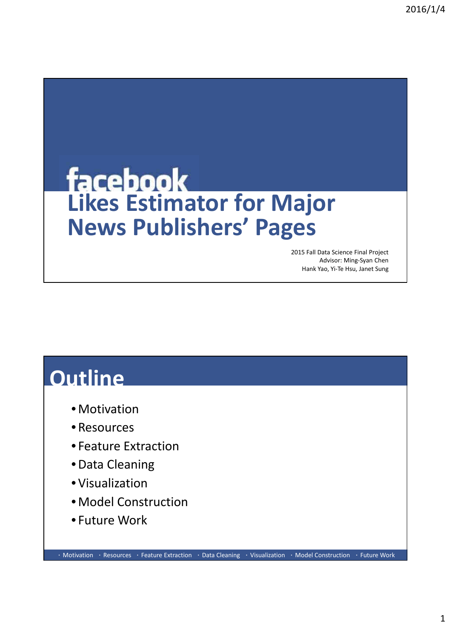# **Likes Estimator for Major News Publishers' Pages**

 $\cdot$  Motivation  $\cdot$  Resources  $\cdot$  Feature Extraction  $\cdot$  Data Cleaning  $\cdot$  Visualization  $\cdot$  Model Construction  $\cdot$  Future Work

2015 Fall Data Science Final Project Advisor: Ming-Syan Chen Hank Yao, Yi-Te Hsu, Janet Sung

### **Outline**

- Motivation
- Resources
- Feature Extraction
- •Data Cleaning
- Visualization
- Model Construction
- Future Work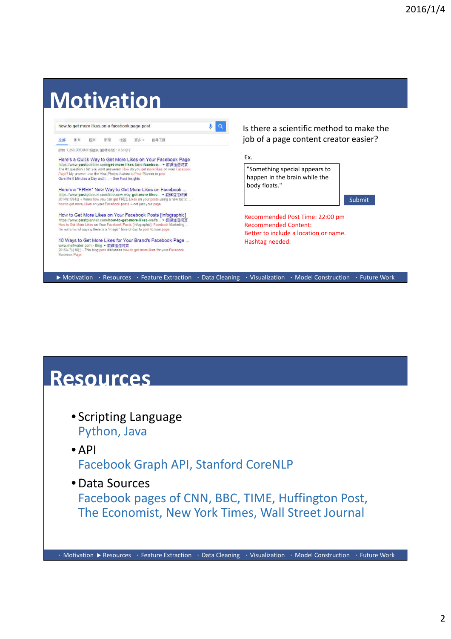### **Motivation**



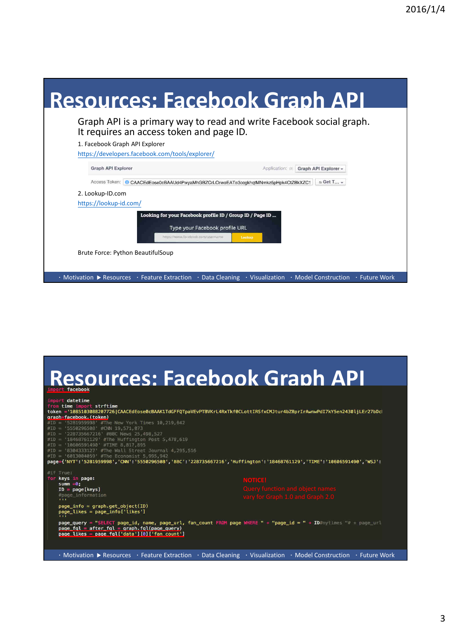

# **Resources: Facebook Graph API**

datetime w time import strftime<br>m time import strftime<br>en ='1085103088207726|CAACEdEose0cBAAK1TdGFFQTpaVEvPTBVKrL4RxTkf0CLottIRSfxCMJtur4bZBprIrAwnwPdI7kY5en2430ljLEr27bDc| token = token ='1085103088207726|CAACEdEose0cBAAK1TdGFFQTpaVEvPTBVKrL4RxTkf0CLottIR5fxCMJtur4bZBprIrAwnwPdI7kY5en2430ljLEr27bDcl<br>qraph=facebook.(token)<br>#ID = '5201959998' #CNN 19,571,073<br>#ID = '5201959998' #CNN 19,571,073<br>#ID = '1 #if True:<br><mark>for keys in page:</mark><br>summ =0;  $ID = page[keys]$ page information page\_info = graph.get\_object(ID)<br>page\_likes = page\_info['likes'] page\_query = "SELECT page\_id, name, page\_url, fan\_count FROM page WHERE " + "page\_id = " + ID#nytimes "# + page\_url<br>page\_fol = after\_fol = graph.fol(page\_query) page\_likes = page\_fql['data'][0]['fan\_count'] . Motivation 
In Resources · Feature Extraction · Data Cleaning · Visualization · Model Construction · Future Work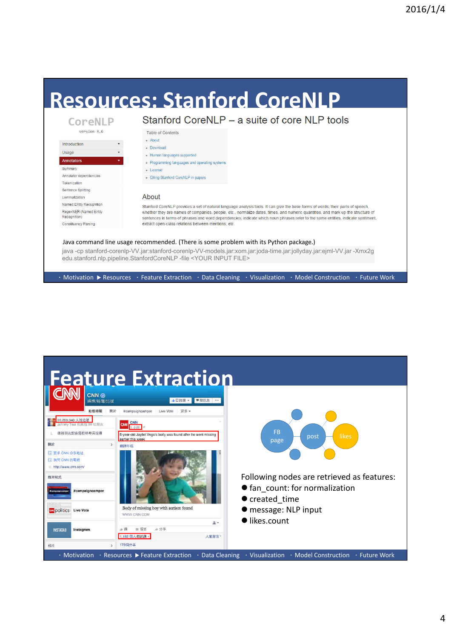## **Resources: Stanford CoreNLP**

CoreNLP

#### Stanford CoreNLP - a suite of core NLP tools

| version s.o                                             |  |
|---------------------------------------------------------|--|
| Introduction                                            |  |
| Usage                                                   |  |
| <b>Annotators</b>                                       |  |
| Summary                                                 |  |
| Annotator dependencies                                  |  |
| Tokenization                                            |  |
| Sentence Splitting                                      |  |
| Leninatization                                          |  |
| THE REPORT OF THE CONTRACTOR OF A CONTRACTOR CONTRACTOR |  |

RegexNER (Named Entity

Constituency Parsing

Recognition

Table of Contents

- About - Download
- · Human languages supported
- > Programming languages and operating systems
- **C. Linguist**
- Citing Stanford CoreNLP in papers

#### About

Stanford CoreNLP provides a set of natural language analysis tools. It can give the base forms of words, their parts of speech, whether they are names of companies, people, etc., normalize dates, times, and numeric quantities, and mark up the structure of sentences in terms of phrases and word dependencies, indicate which noun phrases refer to the same entities, indicate sentiment, extract open-class relations between mentions, etc.

Java command line usage recommended. (There is some problem with its Python package.)

java -cp stanford-corenlp-VV.jar:stanford-corenlp-VV-models.jar:xom.jar:joda-time.jar:jollyday.jar:ejml-VV.jar -Xmx2g edu.stanford.nlp.pipeline.StanfordCoreNLP -file <YOUR INPUT FILE>

 $\cdot$  Motivation  $\blacktriangleright$  Resources  $\cdot$  Feature Extraction  $\cdot$  Data Cleaning  $\cdot$  Visualization  $\cdot$  Model Construction  $\cdot$  Future Work

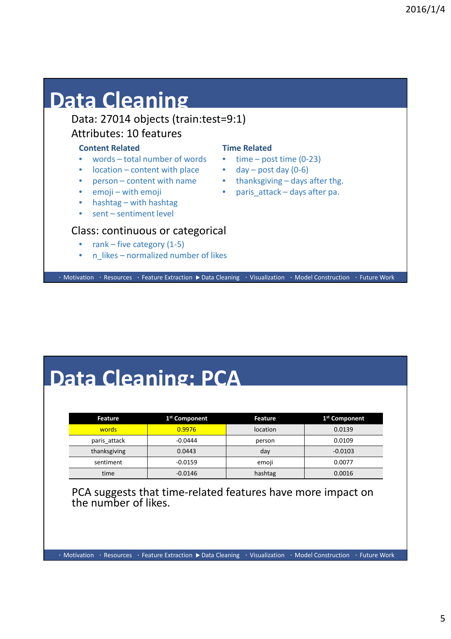### **Data Cleaning**

### Data: 27014 objects (train:test=9:1)

### Attributes: 10 features

#### **Content Related**

- words total number of words
- location content with place
- person content with name
- emoji with emoji
- hashtag with hashtag
- sent sentiment level

### Class: continuous or categorical

- rank five category  $(1-5)$
- n likes normalized number of likes

#### **Time Related**

- 
- $\bullet$  time post time (0-23)  $\bullet$  day – post day (0-6)
- 
- thanksgiving days after thg.
- paris attack days after pa.

. Motivation · Resources · Feature Extraction ▶ Data Cleaning · Visualization · Model Construction · Future Work

# **Data Cleaning: PCA**

| Feature      | 1 <sup>st</sup> Component | Feature  | 1 <sup>st</sup> Component |
|--------------|---------------------------|----------|---------------------------|
| words        | 0.9976                    | location | 0.0139                    |
| paris attack | $-0.0444$                 | person   | 0.0109                    |
| thanksgiving | 0.0443                    | day      | $-0.0103$                 |
| sentiment    | $-0.0159$                 | emoji    | 0.0077                    |
| time         | $-0.0146$                 | hashtag  | 0.0016                    |

PCA suggests that time-related features have more impact on the number of likes.

. Motivation · Resources · Feature Extraction ▶ Data Cleaning · Visualization · Model Construction · Future Work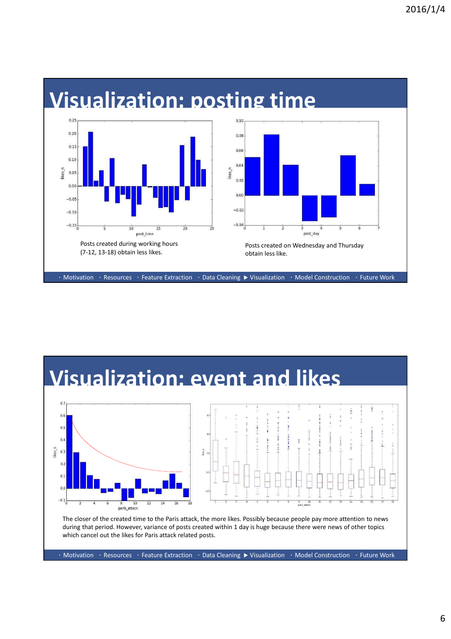

### **Visualization: event and likes**

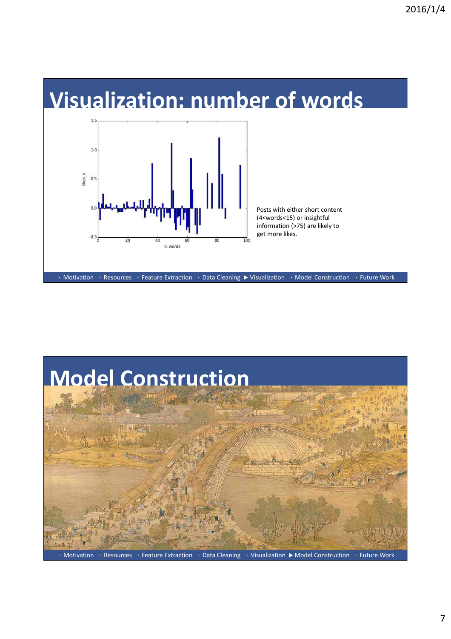

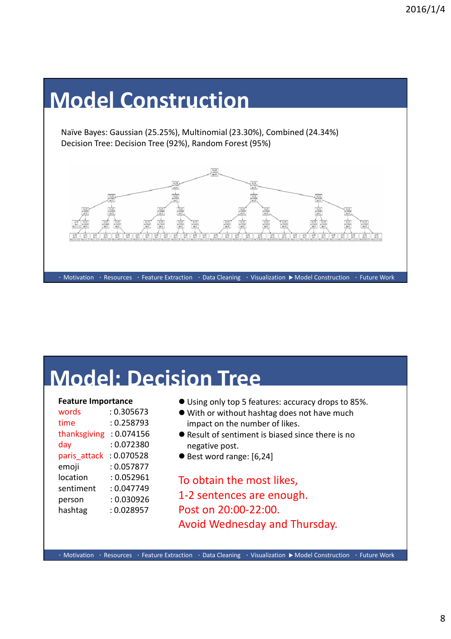

### **Model: Decision Tree**

| <b>Feature Importance</b> |            |  |  |
|---------------------------|------------|--|--|
| words                     | : 0.305673 |  |  |
| time                      | : 0.258793 |  |  |
| thanksgiving              | : 0.074156 |  |  |
| day                       | : 0.072380 |  |  |
| paris attack              | : 0.070528 |  |  |
| emoji                     | : 0.057877 |  |  |
| location                  | : 0.052961 |  |  |
| sentiment                 | : 0.047749 |  |  |
| person                    | : 0.030926 |  |  |
| hashtag                   | : 0.028957 |  |  |

- Using only top 5 features: accuracy drops to 85%.
- With or without hashtag does not have much impact on the number of likes.
- Result of sentiment is biased since there is no negative post.
- Best word range: [6,24]

To obtain the most likes, 1-2 sentences are enough. Post on 20:00-22:00. Avoid Wednesday and Thursday.

. Motivation · Resources · Feature Extraction · Data Cleaning · Visualization ▶ Model Construction · Future Work